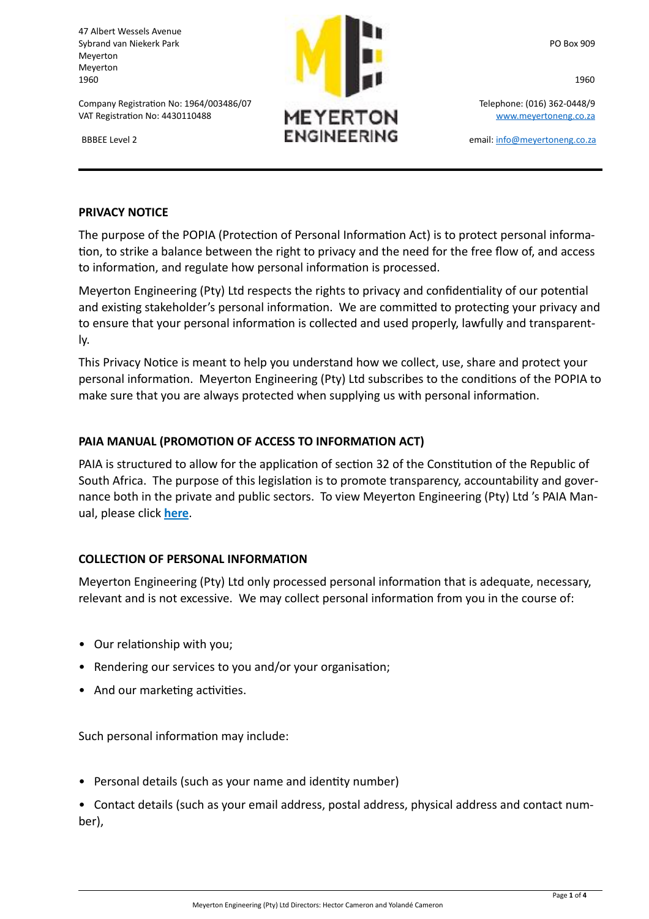47 Albert Wessels Avenue Meyerton Meyerton

Company Registration No: 1964/003486/07 Telephone: (016) 362-0448/9 VAT Registration No: 4430110488  $\mathsf{M}\mathsf{E}\mathsf{Y}\mathsf{E}\mathsf{R}\mathsf{T}\mathsf{O}\mathsf{N}$  www.meyertoneng.co.za



#### **PRIVACY NOTICE**

The purpose of the POPIA (Protection of Personal Information Act) is to protect personal information, to strike a balance between the right to privacy and the need for the free flow of, and access to information, and regulate how personal information is processed.

Meyerton Engineering (Pty) Ltd respects the rights to privacy and confidentiality of our potential and existing stakeholder's personal information. We are committed to protecting your privacy and to ensure that your personal information is collected and used properly, lawfully and transparently.

This Privacy Notice is meant to help you understand how we collect, use, share and protect your personal information. Meyerton Engineering (Pty) Ltd subscribes to the conditions of the POPIA to make sure that you are always protected when supplying us with personal information.

# **PAIA MANUAL (PROMOTION OF ACCESS TO INFORMATION ACT)**

PAIA is structured to allow for the application of section 32 of the Constitution of the Republic of South Africa. The purpose of this legislation is to promote transparency, accountability and governance both in the private and public sectors. To view Meyerton Engineering (Pty) Ltd 's PAIA Manual, please click **here**.

## **COLLECTION OF PERSONAL INFORMATION**

Meyerton Engineering (Pty) Ltd only processed personal information that is adequate, necessary, relevant and is not excessive. We may collect personal information from you in the course of:

- Our relationship with you;
- Rendering our services to you and/or your organisation;
- And our marketing activities.

Such personal information may include:

• Personal details (such as your name and identity number)

• Contact details (such as your email address, postal address, physical address and contact number),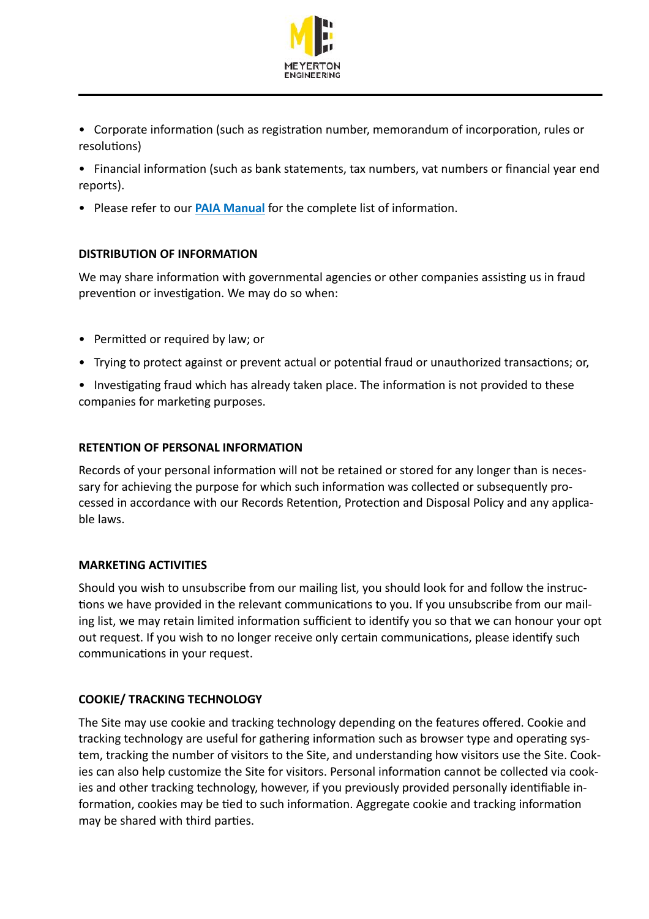

• Corporate information (such as registration number, memorandum of incorporation, rules or resolutions)

• Financial information (such as bank statements, tax numbers, vat numbers or financial year end reports).

• Please refer to our **PAIA Manual** for the complete list of information.

# **DISTRIBUTION OF INFORMATION**

We may share information with governmental agencies or other companies assisting us in fraud prevention or investigation. We may do so when:

- Permitted or required by law; or
- Trying to protect against or prevent actual or potential fraud or unauthorized transactions; or,
- Investigating fraud which has already taken place. The information is not provided to these companies for marketing purposes.

## **RETENTION OF PERSONAL INFORMATION**

Records of your personal information will not be retained or stored for any longer than is necessary for achieving the purpose for which such information was collected or subsequently processed in accordance with our Records Retention, Protection and Disposal Policy and any applicable laws.

## **MARKETING ACTIVITIES**

Should you wish to unsubscribe from our mailing list, you should look for and follow the instructions we have provided in the relevant communications to you. If you unsubscribe from our mailing list, we may retain limited information sufficient to identify you so that we can honour your opt out request. If you wish to no longer receive only certain communications, please identify such communications in your request.

# **COOKIE/ TRACKING TECHNOLOGY**

The Site may use cookie and tracking technology depending on the features offered. Cookie and tracking technology are useful for gathering information such as browser type and operating system, tracking the number of visitors to the Site, and understanding how visitors use the Site. Cookies can also help customize the Site for visitors. Personal information cannot be collected via cookies and other tracking technology, however, if you previously provided personally identifiable information, cookies may be tied to such information. Aggregate cookie and tracking information may be shared with third parties.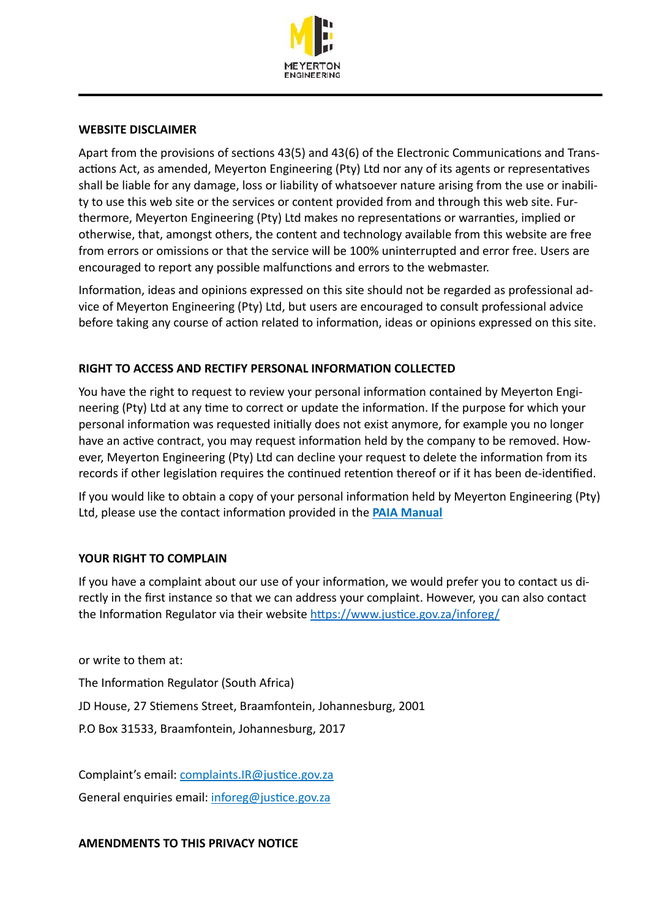

#### **WEBSITE DISCLAIMER**

Apart from the provisions of sections  $43(5)$  and  $43(6)$  of the Electronic Communications and Transactions Act, as amended, Meyerton Engineering (Pty) Ltd nor any of its agents or representatives shall be liable for any damage, loss or liability of whatsoever nature arising from the use or inability to use this web site or the services or content provided from and through this web site. Furthermore, Meyerton Engineering (Pty) Ltd makes no representations or warranties, implied or otherwise, that, amongst others, the content and technology available from this website are free from errors or omissions or that the service will be 100% uninterrupted and error free. Users are encouraged to report any possible malfunctions and errors to the webmaster.

Information, ideas and opinions expressed on this site should not be regarded as professional advice of Meyerton Engineering (Pty) Ltd, but users are encouraged to consult professional advice before taking any course of action related to information, ideas or opinions expressed on this site.

## **RIGHT TO ACCESS AND RECTIFY PERSONAL INFORMATION COLLECTED**

You have the right to request to review your personal information contained by Meyerton Engineering (Pty) Ltd at any time to correct or update the information. If the purpose for which your personal information was requested initially does not exist anymore, for example you no longer have an active contract, you may request information held by the company to be removed. However, Meyerton Engineering (Pty) Ltd can decline your request to delete the information from its records if other legislation requires the continued retention thereof or if it has been de-identified.

If you would like to obtain a copy of your personal information held by Meyerton Engineering (Pty) Ltd, please use the contact information provided in the **PAIA Manual** 

## **YOUR RIGHT TO COMPLAIN**

If you have a complaint about our use of your information, we would prefer you to contact us directly in the first instance so that we can address your complaint. However, you can also contact the Information Regulator via their website https://www.justice.gov.za/inforeg/

or write to them at: The Information Regulator (South Africa) JD House, 27 Stiemens Street, Braamfontein, Johannesburg, 2001 P.O Box 31533, Braamfontein, Johannesburg, 2017

Complaint's email: complaints.IR@justice.gov.za General enquiries email: inforeg@justice.gov.za

**AMENDMENTS TO THIS PRIVACY NOTICE**